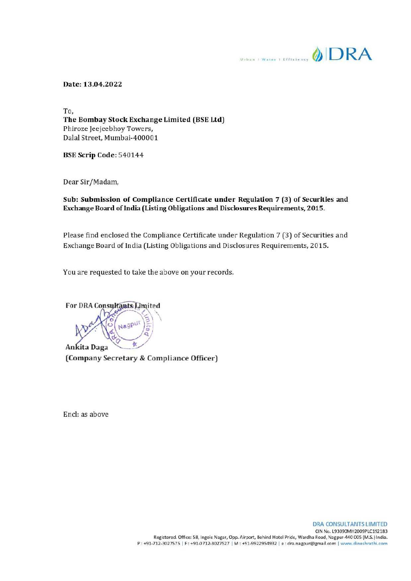**Experiment OLD RA** 

Date: 13.04.2022

To, The Bombay Stock Exchange Limited (BSE Ltd) Phiroze Jeejecbhoy Towers, Dalal Street, Mumbai-400001

BSE Scrip Code: 540144

Dear Sir/Madam,

Sub: Submission of Compliance Certificate under Regulation 7 (3) of Securities and Exchange Board of India (Listing Obligations and Disclosures Requirements, 2015.

Please find enclosed the Compliance Certificate under Regulation 7 (3) of Securities and Exchange Board of India (Listing Obligations and Disclosures Requirements, 2015.

You are requested to take the above on your records.

For DRA Consylfants Limited Nagpur 收 Ankita Daga '

(Company Secretary & Compliance Officer)

Encl: as above